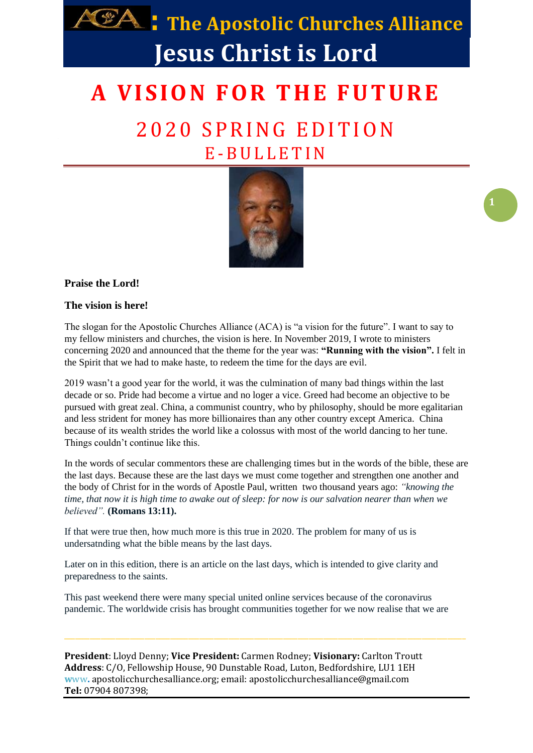

## **A V I S I O N F O R T H E F U T U R E**

## 2020 SPRING EDITION E -B U L L E T I N



### **Praise the Lord!**

#### **The vision is here!**

The slogan for the Apostolic Churches Alliance (ACA) is "a vision for the future". I want to say to my fellow ministers and churches, the vision is here. In November 2019, I wrote to ministers concerning 2020 and announced that the theme for the year was: **"Running with the vision".** I felt in the Spirit that we had to make haste, to redeem the time for the days are evil.

2019 wasn't a good year for the world, it was the culmination of many bad things within the last decade or so. Pride had become a virtue and no loger a vice. Greed had become an objective to be pursued with great zeal. China, a communist country, who by philosophy, should be more egalitarian and less strident for money has more billionaires than any other country except America. China because of its wealth strides the world like a colossus with most of the world dancing to her tune. Things couldn't continue like this.

In the words of secular commentors these are challenging times but in the words of the bible, these are the last days. Because these are the last days we must come together and strengthen one another and the body of Christ for in the words of Apostle Paul, written two thousand years ago: *"knowing the time, that now it is high time to awake out of sleep: for now is our salvation nearer than when we believed".* **(Romans 13:11).**

If that were true then, how much more is this true in 2020. The problem for many of us is undersatnding what the bible means by the last days.

Later on in this edition, there is an article on the last days, which is intended to give clarity and preparedness to the saints.

This past weekend there were many special united online services because of the coronavirus pandemic. The worldwide crisis has brought communities together for we now realise that we are

**President**: Lloyd Denny; **Vice President:** Carmen Rodney; **Visionary:** Carlton Troutt **Address**: C/O, Fellowship House, 90 Dunstable Road, Luton, Bedfordshire, LU1 1EH **w**ww**.** apostolicchurchesalliance.org; email: apostolicchurchesalliance@gmail.com **Tel:** 07904 807398;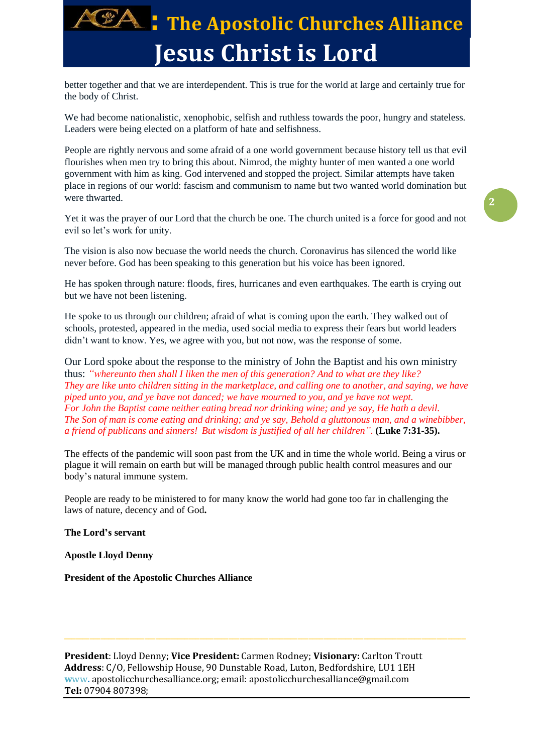

better together and that we are interdependent. This is true for the world at large and certainly true for the body of Christ.

We had become nationalistic, xenophobic, selfish and ruthless towards the poor, hungry and stateless. Leaders were being elected on a platform of hate and selfishness.

People are rightly nervous and some afraid of a one world government because history tell us that evil flourishes when men try to bring this about. Nimrod, the mighty hunter of men wanted a one world government with him as king. God intervened and stopped the project. Similar attempts have taken place in regions of our world: fascism and communism to name but two wanted world domination but were thwarted.

Yet it was the prayer of our Lord that the church be one. The church united is a force for good and not evil so let's work for unity.

The vision is also now becuase the world needs the church. Coronavirus has silenced the world like never before. God has been speaking to this generation but his voice has been ignored.

He has spoken through nature: floods, fires, hurricanes and even earthquakes. The earth is crying out but we have not been listening.

He spoke to us through our children; afraid of what is coming upon the earth. They walked out of schools, protested, appeared in the media, used social media to express their fears but world leaders didn't want to know. Yes, we agree with you, but not now, was the response of some.

Our Lord spoke about the response to the ministry of John the Baptist and his own ministry thus: *"whereunto then shall I liken the men of this generation? And to what are they like? They are like unto children sitting in the marketplace, and calling one to another, and saying, we have piped unto you, and ye have not danced; we have mourned to you, and ye have not wept. For John the Baptist came neither eating bread nor drinking wine; and ye say, He hath a devil. The Son of man is come eating and drinking; and ye say, Behold a gluttonous man, and a winebibber, a friend of publicans and sinners! But wisdom is justified of all her children"*. **(Luke 7:31-35).**

The effects of the pandemic will soon past from the UK and in time the whole world. Being a virus or plague it will remain on earth but will be managed through public health control measures and our body's natural immune system.

People are ready to be ministered to for many know the world had gone too far in challenging the laws of nature, decency and of God**.** 

**The Lord's servant**

**Apostle Lloyd Denny**

**President of the Apostolic Churches Alliance**

**President**: Lloyd Denny; **Vice President:** Carmen Rodney; **Visionary:** Carlton Troutt **Address**: C/O, Fellowship House, 90 Dunstable Road, Luton, Bedfordshire, LU1 1EH **w**ww**.** apostolicchurchesalliance.org; email: apostolicchurchesalliance@gmail.com **Tel:** 07904 807398;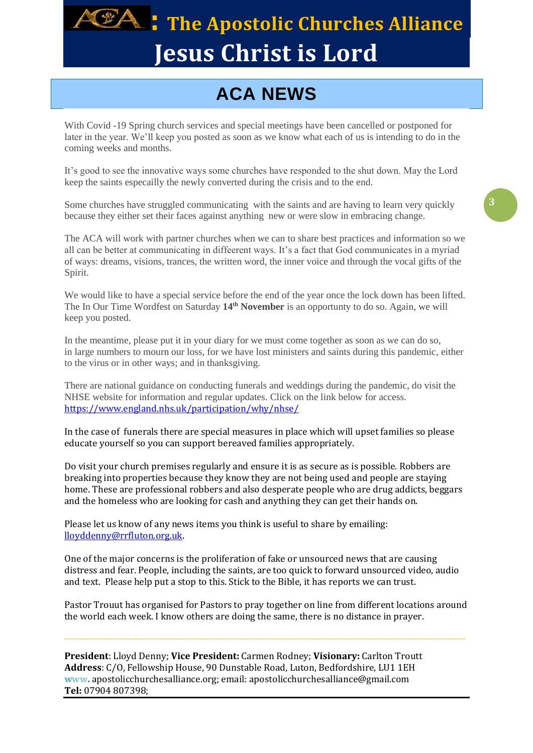

## **224 : The Apostolic Churches Alliance Jesus Christ is Lord**

## **ACA NEWS**

With Covid -19 Spring church services and special meetings have been cancelled or postponed for later in the year. We'll keep you posted as soon as we know what each of us is intending to do in the coming weeks and months.

It's good to see the innovative ways some churches have responded to the shut down. May the Lord keep the saints especailly the newly converted during the crisis and to the end.

Some churches have struggled communicating with the saints and are having to learn very quickly because they either set their faces against anything new or were slow in embracing change.

The ACA will work with partner churches when we can to share best practices and information so we all can be better at communicating in diffeerent ways. It's a fact that God communicates in a myriad of ways: dreams, visions, trances, the written word, the inner voice and through the vocal gifts of the Spirit.

We would like to have a special service before the end of the year once the lock down has been lifted. The In Our Time Wordfest on Saturday **14th November** is an opportunty to do so. Again, we will keep you posted.

In the meantime, please put it in your diary for we must come together as soon as we can do so, in large numbers to mourn our loss, for we have lost ministers and saints during this pandemic, either to the virus or in other ways; and in thanksgiving.

There are national guidance on conducting funerals and weddings during the pandemic, do visit the NHSE website for information and regular updates. Click on the link below for access. <https://www.england.nhs.uk/participation/why/nhse/>

In the case of funerals there are special measures in place which will upset families so please educate yourself so you can support bereaved families appropriately.

Do visit your church premises regularly and ensure it is as secure as is possible. Robbers are breaking into properties because they know they are not being used and people are staying home. These are professional robbers and also desperate people who are drug addicts, beggars and the homeless who are looking for cash and anything they can get their hands on.

Please let us know of any news items you think is useful to share by emailing: [lloyddenny@rrfluton.org.uk.](mailto:lloyddenny@rrfluton.org.uk)

One of the major concerns is the proliferation of fake or unsourced news that are causing distress and fear. People, including the saints, are too quick to forward unsourced video, audio and text. Please help put a stop to this. Stick to the Bible, it has reports we can trust.

Pastor Trouut has organised for Pastors to pray together on line from different locations around the world each week. I know others are doing the same, there is no distance in prayer.

**President**: Lloyd Denny; **Vice President:** Carmen Rodney; **Visionary:** Carlton Troutt **Address**: C/O, Fellowship House, 90 Dunstable Road, Luton, Bedfordshire, LU1 1EH **w**ww**.** apostolicchurchesalliance.org; email: apostolicchurchesalliance@gmail.com **Tel:** 07904 807398;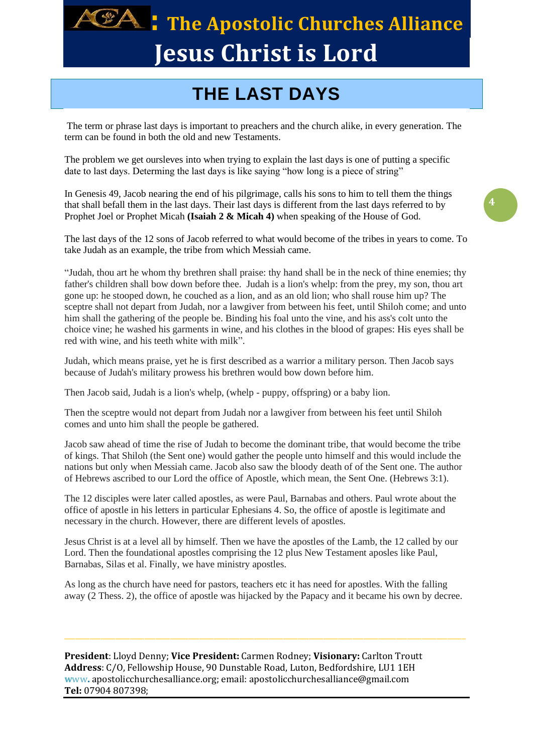

## **: The Apostolic Churches Alliance Jesus Christ is Lord**

### **THE LAST DAYS**

The term or phrase last days is important to preachers and the church alike, in every generation. The term can be found in both the old and new Testaments.

The problem we get oursleves into when trying to explain the last days is one of putting a specific date to last days. Determing the last days is like saying "how long is a piece of string"

In Genesis 49, Jacob nearing the end of his pilgrimage, calls his sons to him to tell them the things that shall befall them in the last days. Their last days is different from the last days referred to by Prophet Joel or Prophet Micah **(Isaiah 2 & Micah 4)** when speaking of the House of God.

The last days of the 12 sons of Jacob referred to what would become of the tribes in years to come. To take Judah as an example, the tribe from which Messiah came.

"Judah, thou art he whom thy brethren shall praise: thy hand shall be in the neck of thine enemies; thy father's children shall bow down before thee. Judah is a lion's whelp: from the prey, my son, thou art gone up: he stooped down, he couched as a lion, and as an old lion; who shall rouse him up? The sceptre shall not depart from Judah, nor a lawgiver from between his feet, until Shiloh come; and unto him shall the gathering of the people be. Binding his foal unto the vine, and his ass's colt unto the choice vine; he washed his garments in wine, and his clothes in the blood of grapes: His eyes shall be red with wine, and his teeth white with milk".

Judah, which means praise, yet he is first described as a warrior a military person. Then Jacob says because of Judah's military prowess his brethren would bow down before him.

Then Jacob said, Judah is a lion's whelp, (whelp - puppy, offspring) or a baby lion.

Then the sceptre would not depart from Judah nor a lawgiver from between his feet until Shiloh comes and unto him shall the people be gathered.

Jacob saw ahead of time the rise of Judah to become the dominant tribe, that would become the tribe of kings. That Shiloh (the Sent one) would gather the people unto himself and this would include the nations but only when Messiah came. Jacob also saw the bloody death of of the Sent one. The author of Hebrews ascribed to our Lord the office of Apostle, which mean, the Sent One. (Hebrews 3:1).

The 12 disciples were later called apostles, as were Paul, Barnabas and others. Paul wrote about the office of apostle in his letters in particular Ephesians 4. So, the office of apostle is legitimate and necessary in the church. However, there are different levels of apostles.

Jesus Christ is at a level all by himself. Then we have the apostles of the Lamb, the 12 called by our Lord. Then the foundational apostles comprising the 12 plus New Testament aposles like Paul, Barnabas, Silas et al. Finally, we have ministry apostles.

As long as the church have need for pastors, teachers etc it has need for apostles. With the falling away (2 Thess. 2), the office of apostle was hijacked by the Papacy and it became his own by decree.

**President**: Lloyd Denny; **Vice President:** Carmen Rodney; **Visionary:** Carlton Troutt **Address**: C/O, Fellowship House, 90 Dunstable Road, Luton, Bedfordshire, LU1 1EH **w**ww**.** apostolicchurchesalliance.org; email: apostolicchurchesalliance@gmail.com **Tel:** 07904 807398;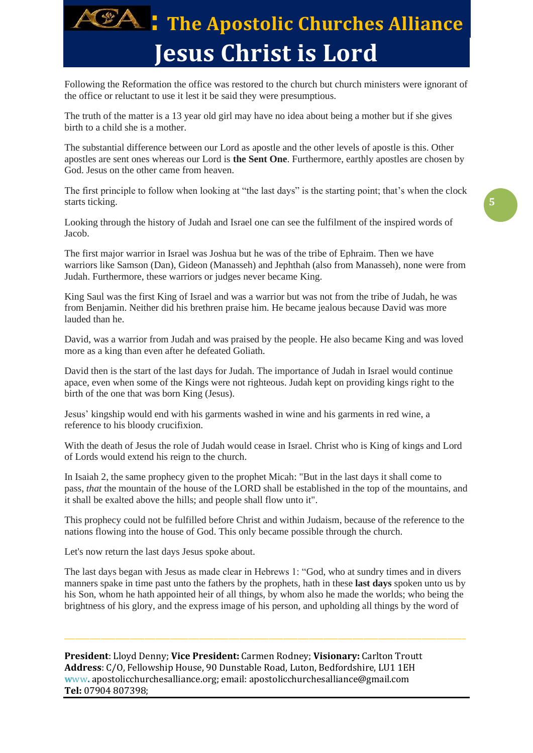

Following the Reformation the office was restored to the church but church ministers were ignorant of the office or reluctant to use it lest it be said they were presumptious.

The truth of the matter is a 13 year old girl may have no idea about being a mother but if she gives birth to a child she is a mother.

The substantial difference between our Lord as apostle and the other levels of apostle is this. Other apostles are sent ones whereas our Lord is **the Sent One**. Furthermore, earthly apostles are chosen by God. Jesus on the other came from heaven.

The first principle to follow when looking at "the last days" is the starting point; that's when the clock starts ticking.

Looking through the history of Judah and Israel one can see the fulfilment of the inspired words of Jacob.

The first major warrior in Israel was Joshua but he was of the tribe of Ephraim. Then we have warriors like Samson (Dan), Gideon (Manasseh) and Jephthah (also from Manasseh), none were from Judah. Furthermore, these warriors or judges never became King.

King Saul was the first King of Israel and was a warrior but was not from the tribe of Judah, he was from Benjamin. Neither did his brethren praise him. He became jealous because David was more lauded than he.

David, was a warrior from Judah and was praised by the people. He also became King and was loved more as a king than even after he defeated Goliath.

David then is the start of the last days for Judah. The importance of Judah in Israel would continue apace, even when some of the Kings were not righteous. Judah kept on providing kings right to the birth of the one that was born King (Jesus).

Jesus' kingship would end with his garments washed in wine and his garments in red wine, a reference to his bloody crucifixion.

With the death of Jesus the role of Judah would cease in Israel. Christ who is King of kings and Lord of Lords would extend his reign to the church.

In Isaiah 2, the same prophecy given to the prophet Micah: "But in the last days it shall come to pass, *that* the mountain of the house of the LORD shall be established in the top of the mountains, and it shall be exalted above the hills; and people shall flow unto it".

This prophecy could not be fulfilled before Christ and within Judaism, because of the reference to the nations flowing into the house of God. This only became possible through the church.

Let's now return the last days Jesus spoke about.

The last days began with Jesus as made clear in Hebrews 1: "God, who at sundry times and in divers manners spake in time past unto the fathers by the prophets, hath in these **last days** spoken unto us by his Son, whom he hath appointed heir of all things, by whom also he made the worlds; who being the brightness of his glory, and the express image of his person, and upholding all things by the word of

**President**: Lloyd Denny; **Vice President:** Carmen Rodney; **Visionary:** Carlton Troutt **Address**: C/O, Fellowship House, 90 Dunstable Road, Luton, Bedfordshire, LU1 1EH **w**ww**.** apostolicchurchesalliance.org; email: apostolicchurchesalliance@gmail.com **Tel:** 07904 807398;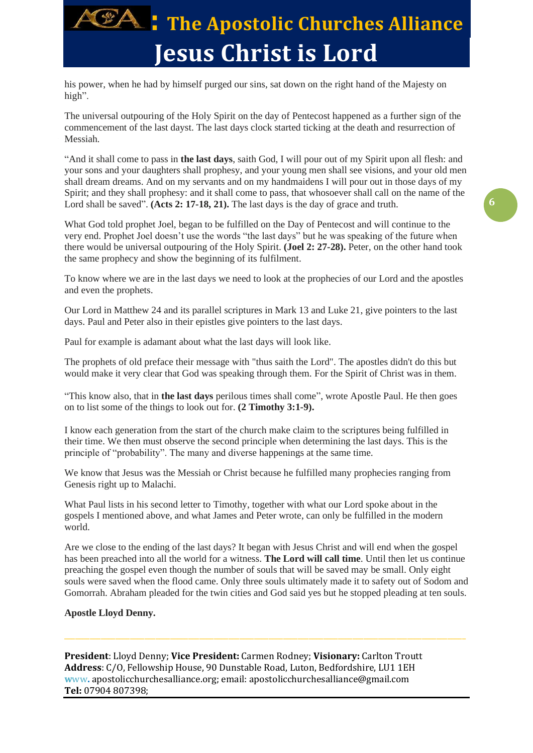

his power, when he had by himself purged our sins, sat down on the right hand of the Majesty on high".

The universal outpouring of the Holy Spirit on the day of Pentecost happened as a further sign of the commencement of the last dayst. The last days clock started ticking at the death and resurrection of Messiah.

"And it shall come to pass in **the last days**, saith God, I will pour out of my Spirit upon all flesh: and your sons and your daughters shall prophesy, and your young men shall see visions, and your old men shall dream dreams. And on my servants and on my handmaidens I will pour out in those days of my Spirit; and they shall prophesy: and it shall come to pass, that whosoever shall call on the name of the Lord shall be saved". **(Acts 2: 17-18, 21).** The last days is the day of grace and truth.

What God told prophet Joel, began to be fulfilled on the Day of Pentecost and will continue to the very end. Prophet Joel doesn't use the words "the last days" but he was speaking of the future when there would be universal outpouring of the Holy Spirit. **(Joel 2: 27-28).** Peter, on the other hand took the same prophecy and show the beginning of its fulfilment.

To know where we are in the last days we need to look at the prophecies of our Lord and the apostles and even the prophets.

Our Lord in Matthew 24 and its parallel scriptures in Mark 13 and Luke 21, give pointers to the last days. Paul and Peter also in their epistles give pointers to the last days.

Paul for example is adamant about what the last days will look like.

The prophets of old preface their message with "thus saith the Lord". The apostles didn't do this but would make it very clear that God was speaking through them. For the Spirit of Christ was in them.

"This know also, that in **the last days** perilous times shall come", wrote Apostle Paul. He then goes on to list some of the things to look out for. **(2 Timothy 3:1-9).**

I know each generation from the start of the church make claim to the scriptures being fulfilled in their time. We then must observe the second principle when determining the last days. This is the principle of "probability". The many and diverse happenings at the same time.

We know that Jesus was the Messiah or Christ because he fulfilled many prophecies ranging from Genesis right up to Malachi.

What Paul lists in his second letter to Timothy, together with what our Lord spoke about in the gospels I mentioned above, and what James and Peter wrote, can only be fulfilled in the modern world.

Are we close to the ending of the last days? It began with Jesus Christ and will end when the gospel has been preached into all the world for a witness. **The Lord will call time**. Until then let us continue preaching the gospel even though the number of souls that will be saved may be small. Only eight souls were saved when the flood came. Only three souls ultimately made it to safety out of Sodom and Gomorrah. Abraham pleaded for the twin cities and God said yes but he stopped pleading at ten souls.

#### **Apostle Lloyd Denny.**

**President**: Lloyd Denny; **Vice President:** Carmen Rodney; **Visionary:** Carlton Troutt **Address**: C/O, Fellowship House, 90 Dunstable Road, Luton, Bedfordshire, LU1 1EH **w**ww**.** apostolicchurchesalliance.org; email: apostolicchurchesalliance@gmail.com **Tel:** 07904 807398;